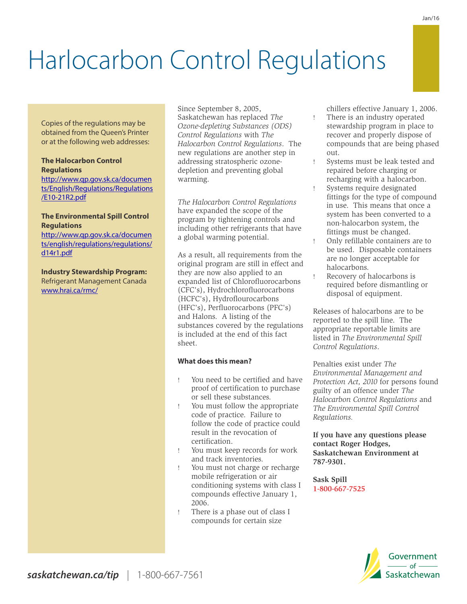# Harlocarbon Control Regulations

Copies of the regulations may be obtained from the Queen's Printer or at the following web addresses:

#### **The Halocarbon Control Regulations**

[http://www.qp.gov.sk.ca/documen](http://www.qp.gov.sk.ca/documents/English/Regulations/Regulations/E10-21R2.pdf) [ts/English/Regulations/Regulations](http://www.qp.gov.sk.ca/documents/English/Regulations/Regulations/E10-21R2.pdf) [/E10-21R2.pdf](http://www.qp.gov.sk.ca/documents/English/Regulations/Regulations/E10-21R2.pdf) 

#### **The Environmental Spill Control Regulations**

[http://www.qp.gov.sk.ca/documen](http://www.qp.gov.sk.ca/documents/english/regulations/regulations/d14r1.pdf) [ts/english/regulations/regulations/](http://www.qp.gov.sk.ca/documents/english/regulations/regulations/d14r1.pdf) [d14r1.pdf](http://www.qp.gov.sk.ca/documents/english/regulations/regulations/d14r1.pdf)

**Industry Stewardship Program:** Refrigerant Management Canada [www.hrai.ca/rmc/](http://www.hrai.ca/rmc/)

Since September 8, 2005, Saskatchewan has replaced *The Ozone-depleting Substances (ODS) Control Regulations* with *The Halocarbon Control Regulations*. The new regulations are another step in addressing stratospheric ozonedepletion and preventing global warming.

*The Halocarbon Control Regulations*  have expanded the scope of the program by tightening controls and including other refrigerants that have a global warming potential.

As a result, all requirements from the original program are still in effect and they are now also applied to an expanded list of Chlorofluorocarbons (CFC's), Hydrochlorofluorocarbons (HCFC's), Hydroflourocarbons (HFC's), Perfluorocarbons (PFC's) and Halons. A listing of the substances covered by the regulations is included at the end of this fact sheet.

#### **What does this mean?**

- ! You need to be certified and have proof of certification to purchase or sell these substances.
- ! You must follow the appropriate code of practice. Failure to follow the code of practice could result in the revocation of certification.
- ! You must keep records for work and track inventories.
- ! You must not charge or recharge mobile refrigeration or air conditioning systems with class I compounds effective January 1, 2006.
- ! There is a phase out of class I compounds for certain size

chillers effective January 1, 2006.

- ! There is an industry operated stewardship program in place to recover and properly dispose of compounds that are being phased out.
- Systems must be leak tested and repaired before charging or recharging with a halocarbon.
- Systems require designated fittings for the type of compound in use. This means that once a system has been converted to a non-halocarbon system, the fittings must be changed.
- ! Only refillable containers are to be used. Disposable containers are no longer acceptable for halocarbons.
- Recovery of halocarbons is required before dismantling or disposal of equipment.

Releases of halocarbons are to be reported to the spill line. The appropriate reportable limits are listed in *The Environmental Spill Control Regulations*.

Penalties exist under *The Environmental Management and Protection Act, 2010* for persons found guilty of an offence under *The Halocarbon Control Regulations* and *The Environmental Spill Control Regulations.*

**If you have any questions please contact Roger Hodges, Saskatchewan Environment at 787-9301.**

**Sask Spill 1-800-667-7525**